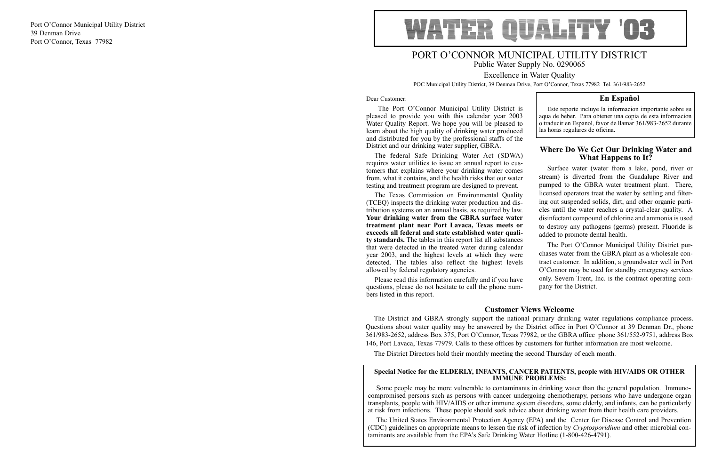# PORT O'CONNOR MUNICIPAL UTILITY DISTRICT Public Water Supply No. 0290065

Excellence in Water Quality POC Municipal Utility District, 39 Denman Drive, Port O'Connor, Texas 77982 Tel. 361/983-2652

#### Dear Customer:

The Port O'Connor Municipal Utility District is pleased to provide you with this calendar year 2003 Water Quality Report. We hope you will be pleased to learn about the high quality of drinking water produced and distributed for you by the professional staffs of the District and our drinking water supplier, GBRA. Este reporte incluye la informacion importante sobre su aqua de beber. Para obtener una copia de esta informacion o traducir en Espanol, favor de llamar 361/983-2652 durante las horas regulares de oficina.

that were detected in the treated water during calendar year 2003, and the highest levels at which they were detected. The tables also reflect the highest levels allowed by federal regulatory agencies. questions, please do not hesitate to call the phone numbers listed in this report.

## **En Español**

#### **Special Notice for the ELDERLY, INFANTS, CANCER PATIENTS, people with HIV/AIDS OR OTHER IMMUNE PROBLEMS:**

The federal Safe Drinking Water Act (SDWA) requires water utilities to issue an annual report to customers that explains where your drinking water comes from, what it contains, and the health risks that our water testing and treatment program are designed to prevent. The Texas Commission on Environmental Quality **What Happens to It?** Surface water (water from a lake, pond, river or stream) is diverted from the Guadalupe River and pumped to the GBRA water treatment plant. There, licensed operators treat the water by settling and filtering out suspended solids, dirt, and other organic particles until the water reaches a crystal-clear quality. A disinfectant compound of chlorine and ammonia is used to destroy any pathogens (germs) present. Fluoride is added to promote dental health.

Some people may be more vulnerable to contaminants in drinking water than the general population. Immunocompromised persons such as persons with cancer undergoing chemotherapy, persons who have undergone organ transplants, people with HIV/AIDS or other immune system disorders, some elderly, and infants, can be particularly at risk from infections. These people should seek advice about drinking water from their health care providers.

(TCEQ) inspects the drinking water production and distribution systems on an annual basis, as required by law. **Your drinking water from the GBRA surface water treatment plant near Port Lavaca, Texas meets or exceeds all federal and state established water quality standards.** The tables in this report list all substances Please read this information carefully and if you have The Port O'Connor Municipal Utility District purchases water from the GBRA plant as a wholesale contract customer. In addition, a groundwater well in Port O'Connor may be used for standby emergency services only. Severn Trent, Inc. is the contract operating company for the District.

The United States Environmental Protection Agency (EPA) and the Center for Disease Control and Prevention (CDC) guidelines on appropriate means to lessen the risk of infection by *Cryptosporidium* and other microbial contaminants are available from the EPA's Safe Drinking Water Hotline (1-800-426-4791).

# **Where Do We Get Our Drinking Water and**

## **Customer Views Welcome**

The District and GBRA strongly support the national primary drinking water regulations compliance process. Questions about water quality may be answered by the District office in Port O'Connor at 39 Denman Dr., phone 361/983-2652, address Box 375, Port O'Connor, Texas 77982, or the GBRA office phone 361/552-9751, address Box 146, Port Lavaca, Texas 77979. Calls to these offices by customers for further information are most welcome.

The District Directors hold their monthly meeting the second Thursday of each month.

Port O'Connor Municipal Utility District 39 Denman Drive Port O'Connor, Texas 77982